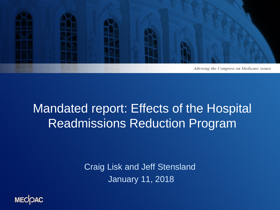

## Mandated report: Effects of the Hospital Readmissions Reduction Program

Craig Lisk and Jeff Stensland January 11, 2018

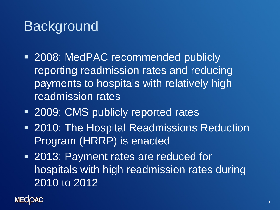## **Background**

- **2008: MedPAC recommended publicly** reporting readmission rates and reducing payments to hospitals with relatively high readmission rates
- **2009: CMS publicly reported rates**
- **2010: The Hospital Readmissions Reduction** Program (HRRP) is enacted
- **2013: Payment rates are reduced for** hospitals with high readmission rates during 2010 to 2012

**MECOAC**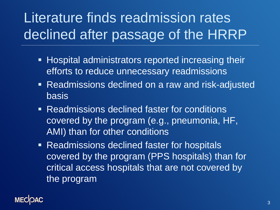# Literature finds readmission rates declined after passage of the HRRP

- **Hospital administrators reported increasing their** efforts to reduce unnecessary readmissions
- **Readmissions declined on a raw and risk-adjusted** basis
- **Readmissions declined faster for conditions** covered by the program (e.g., pneumonia, HF, AMI) than for other conditions
- **Readmissions declined faster for hospitals** covered by the program (PPS hospitals) than for critical access hospitals that are not covered by the program

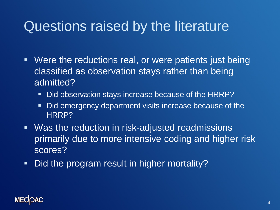## Questions raised by the literature

- Were the reductions real, or were patients just being classified as observation stays rather than being admitted?
	- Did observation stays increase because of the HRRP?
	- Did emergency department visits increase because of the HRRP?
- **Was the reduction in risk-adjusted readmissions** primarily due to more intensive coding and higher risk scores?
- Did the program result in higher mortality?

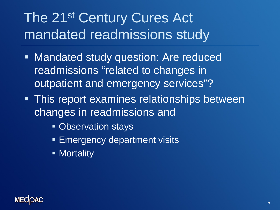# The 21<sup>st</sup> Century Cures Act mandated readmissions study

- **Mandated study question: Are reduced** readmissions "related to changes in outpatient and emergency services"?
- **This report examines relationships between** changes in readmissions and
	- **Observation stays**
	- **Emergency department visits**
	- **Nortality**

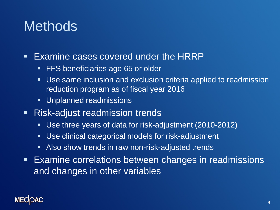## **Methods**

- **Examine cases covered under the HRRP** 
	- **FFS beneficiaries age 65 or older**
	- Use same inclusion and exclusion criteria applied to readmission reduction program as of fiscal year 2016
	- **Unplanned readmissions**
- **Risk-adjust readmission trends** 
	- Use three years of data for risk-adjustment (2010-2012)
	- Use clinical categorical models for risk-adjustment
	- **Also show trends in raw non-risk-adjusted trends**
- Examine correlations between changes in readmissions and changes in other variables

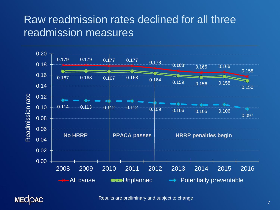#### Raw readmission rates declined for all three readmission measures

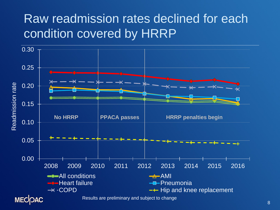## Raw readmission rates declined for each condition covered by HRRP

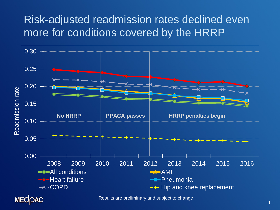#### Risk-adjusted readmission rates declined even more for conditions covered by the HRRP

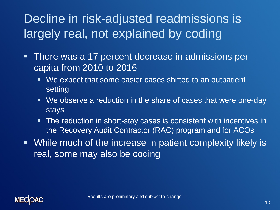## Decline in risk-adjusted readmissions is largely real, not explained by coding

- **There was a 17 percent decrease in admissions per** capita from 2010 to 2016
	- We expect that some easier cases shifted to an outpatient setting
	- We observe a reduction in the share of cases that were one-day stays
	- The reduction in short-stay cases is consistent with incentives in the Recovery Audit Contractor (RAC) program and for ACOs
- While much of the increase in patient complexity likely is real, some may also be coding

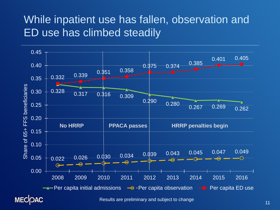#### While inpatient use has fallen, observation and ED use has climbed steadily

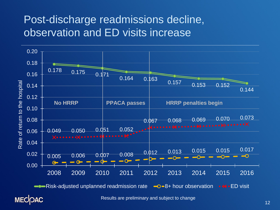#### Post-discharge readmissions decline, observation and ED visits increase

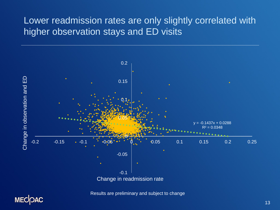#### Lower readmission rates are only slightly correlated with higher observation stays and ED visits

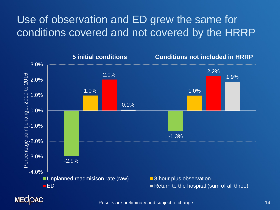### Use of observation and ED grew the same for conditions covered and not covered by the HRRP

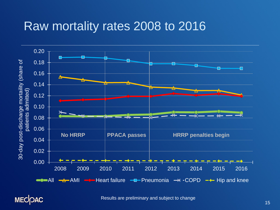### Raw mortality rates 2008 to 2016



**MECOAC**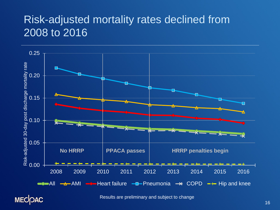#### Risk-adjusted mortality rates declined from 2008 to 2016

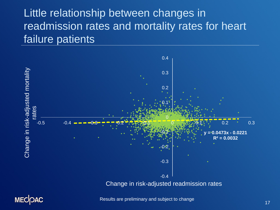#### Little relationship between changes in readmission rates and mortality rates for heart failure patients





Results are preliminary and subject to change 17 and 17 and 17 and 17 and 17 and 17 and 17 and 17 and 17 and 17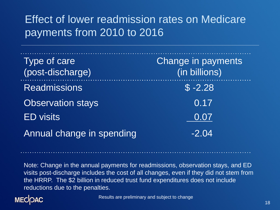### Effect of lower readmission rates on Medicare payments from 2010 to 2016

| Type of care<br>(post-discharge) | Change in payments<br>(in billions) |
|----------------------------------|-------------------------------------|
| <b>Readmissions</b>              | $$ -2.28$                           |
| <b>Observation stays</b>         | 0.17                                |
| <b>ED</b> visits                 | 0.07                                |
| Annual change in spending        | $-2.04$                             |

Note: Change in the annual payments for readmissions, observation stays, and ED visits post-discharge includes the cost of all changes, even if they did not stem from the HRRP. The \$2 billion in reduced trust fund expenditures does not include reductions due to the penalties.

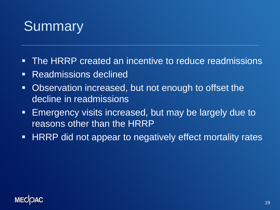# **Summary**

- **The HRRP created an incentive to reduce readmissions**
- **Readmissions declined**
- Observation increased, but not enough to offset the decline in readmissions
- **Emergency visits increased, but may be largely due to** reasons other than the HRRP
- **HRRP** did not appear to negatively effect mortality rates